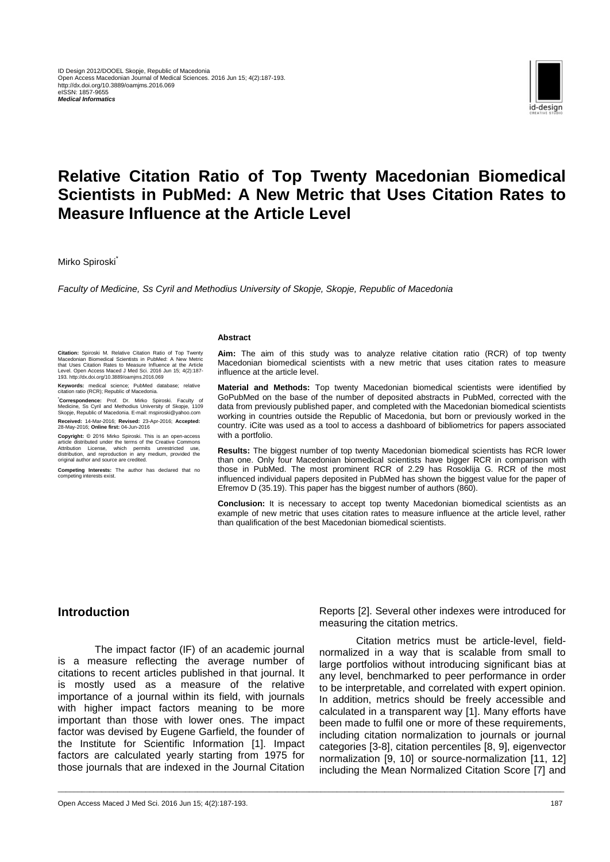

# **Relative Citation Ratio of Top Twenty Macedonian Biomedical Scientists in PubMed: A New Metric that Uses Citation Rates to Measure Influence at the Article Level**

\_\_\_\_\_\_\_\_\_\_\_\_\_\_\_\_\_\_\_\_\_\_\_\_\_\_\_\_\_\_\_\_\_\_\_\_\_\_\_\_\_\_\_\_\_\_\_\_\_\_\_\_\_\_\_\_\_\_\_\_\_\_\_\_\_\_\_\_\_\_\_\_\_\_\_\_\_\_\_\_\_\_\_\_\_\_\_\_\_\_\_\_\_\_\_\_\_\_\_\_\_\_\_\_\_\_\_\_\_\_\_\_\_\_\_\_\_\_\_\_\_\_\_\_\_\_\_

Mirko Spiroski<sup>\*</sup>

**Citation:** Spiroski M. Relative Citation Ratio of Top Twenty<br>Macedonian Biomedical Scientists in PubMed: A New Metric<br>that Uses Citation Rates to Measure Influence at the Article<br>Level. Open Access Maced J Med Sci. 2016 J **Keywords:** medical science; PubMed database; relative

**\*Correspondence:** Prof. Dr. Mirko Spiroski. Faculty of Medicine, Ss Cyril and Methodius University of Skopje, 1109 Skopje, Republic of Macedonia. E-mail: mspiroski@yahoo.com **Received:** 14-Mar-2016; **Revised:** 23-Apr-2016; **Accepted:**

**Copyright:** © 2016 Mirko Spiroski. This is an open-access<br>article distributed under the terms of the Creative Commons<br>Attribution License, which permits unrestricted use,<br>distribution, and reproduction in any medium, prov

**Competing Interests:** The author has declared that no competing interests exist.

citation ratio (RCR); Republic of Macedonia.

28-May-2016; **Online first:** 04-Jun-2016

original author and source are credited.

*Faculty of Medicine, Ss Cyril and Methodius University of Skopje, Skopje, Republic of Macedonia*

#### **Abstract**

**Aim:** The aim of this study was to analyze relative citation ratio (RCR) of top twenty Macedonian biomedical scientists with a new metric that uses citation rates to measure influence at the article level.

**Material and Methods:** Top twenty Macedonian biomedical scientists were identified by GoPubMed on the base of the number of deposited abstracts in PubMed, corrected with the data from previously published paper, and completed with the Macedonian biomedical scientists working in countries outside the Republic of Macedonia, but born or previously worked in the country. iCite was used as a tool to access a dashboard of bibliometrics for papers associated with a portfolio.

**Results:** The biggest number of top twenty Macedonian biomedical scientists has RCR lower than one. Only four Macedonian biomedical scientists have bigger RCR in comparison with those in PubMed. The most prominent RCR of 2.29 has Rosoklija G. RCR of the most influenced individual papers deposited in PubMed has shown the biggest value for the paper of Efremov D (35.19). This paper has the biggest number of authors (860).

**Conclusion:** It is necessary to accept top twenty Macedonian biomedical scientists as an example of new metric that uses citation rates to measure influence at the article level, rather than qualification of the best Macedonian biomedical scientists.

#### **Introduction**

The impact factor (IF) of an academic journal is a measure reflecting the average number of citations to recent articles published in that journal. It is mostly used as a measure of the relative importance of a journal within its field, with journals with higher impact factors meaning to be more important than those with lower ones. The impact factor was devised by Eugene Garfield, the founder of the Institute for Scientific Information [1]. Impact factors are calculated yearly starting from 1975 for those journals that are indexed in the Journal Citation

Reports [2]. Several other indexes were introduced for measuring the citation metrics.

Citation metrics must be article-level, fieldnormalized in a way that is scalable from small to large portfolios without introducing significant bias at any level, benchmarked to peer performance in order to be interpretable, and correlated with expert opinion. In addition, metrics should be freely accessible and calculated in a transparent way [1]. Many efforts have been made to fulfil one or more of these requirements, including citation normalization to journals or journal categories [3-8], citation percentiles [8, 9], eigenvector normalization [9, 10] or source-normalization [11, 12] including the Mean Normalized Citation Score [7] and

Open Access Maced J Med Sci. 2016 Jun 15; 4(2):187-193. 187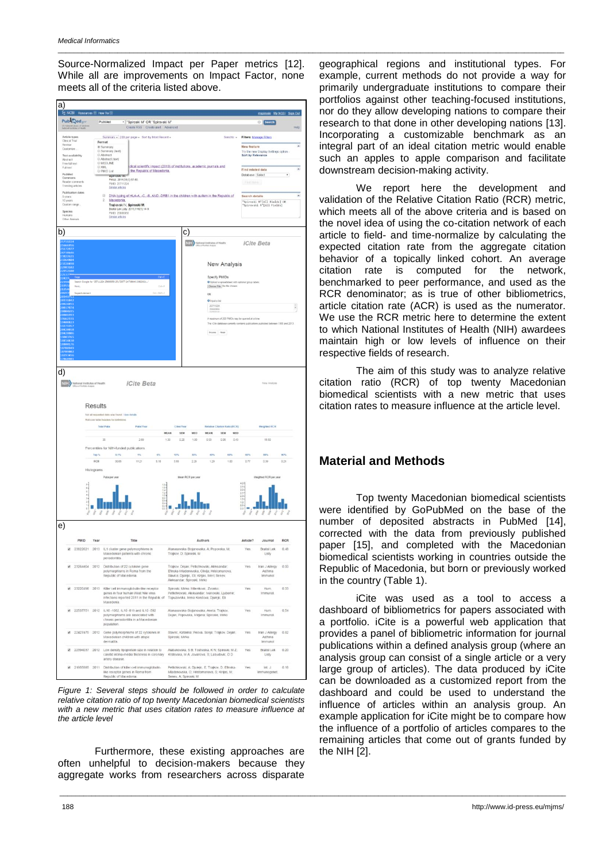Source-Normalized Impact per Paper metrics [12]. While all are improvements on Impact Factor, none meets all of the criteria listed above.

\_\_\_\_\_\_\_\_\_\_\_\_\_\_\_\_\_\_\_\_\_\_\_\_\_\_\_\_\_\_\_\_\_\_\_\_\_\_\_\_\_\_\_\_\_\_\_\_\_\_\_\_\_\_\_\_\_\_\_\_\_\_\_\_\_\_\_\_\_\_\_\_\_\_\_\_\_\_\_\_\_\_\_\_\_\_\_\_\_\_\_\_\_\_\_\_\_\_\_\_\_\_\_\_\_\_\_\_\_\_\_\_\_\_\_\_\_\_\_\_\_\_\_\_\_\_\_

| a)                                                                     | X NCBI Resources @ How To @          |                                            |                                                                                                                                                                                                                                                            |                                                                                                                                                                                                                        |                                         |                                                                            |                    |
|------------------------------------------------------------------------|--------------------------------------|--------------------------------------------|------------------------------------------------------------------------------------------------------------------------------------------------------------------------------------------------------------------------------------------------------------|------------------------------------------------------------------------------------------------------------------------------------------------------------------------------------------------------------------------|-----------------------------------------|----------------------------------------------------------------------------|--------------------|
|                                                                        | Publined.org                         |                                            | PubMed<br>* Spiroski M" OR "Spirovski M"                                                                                                                                                                                                                   |                                                                                                                                                                                                                        |                                         | mspiroski My.NCBI Sign.Out<br>Search                                       |                    |
| Article types                                                          | US Halkinst Library of Me            |                                            | Create RSS Create alert Advanced<br>Summary + 200 per page + Sort by Most Recent +                                                                                                                                                                         | Send to: =                                                                                                                                                                                                             |                                         | Filters: Manage Filters                                                    | Help               |
| Clinical Trial<br>Review<br>Customize<br>Text availability<br>Abstract |                                      |                                            | Format<br>Summary<br>Summary (text)<br>Abstract<br>BAbstract (text)                                                                                                                                                                                        |                                                                                                                                                                                                                        | New feature<br><b>Sort by Relevance</b> | Try the new Display Settings option -                                      |                    |
| Free full text<br>Full fext<br>PubMed<br>Commons                       |                                      |                                            | @ MEDLINE<br>dical scientific impact (2013) of institutions, academic journals and<br><b>UD XML</b><br>PMID List<br>the Republic of Macedonia.<br>аратовки мг.                                                                                             | Find related data<br>Database: Select<br>٠                                                                                                                                                                             |                                         |                                                                            |                    |
| Trending articles<br>5 years                                           | Reader comments<br>Publication dates |                                            | Prilozi 2014;35(3):67-80.<br>PMD: 25711224<br>Similar articles<br>DNA typing of HLA-A. -C. -B. AND -DRB1 in the children with autism in the Republic of<br>G)                                                                                              | [15ml have]<br>Search details                                                                                                                                                                                          |                                         |                                                                            |                    |
| 10 years<br>Custom range<br>Species<br>Humans<br>Other Animals         |                                      |                                            | $\overline{2}$<br>Macedonia.<br>Trajkovski V. Spiroski M.<br>Bratisl Lek Listy. 2015; 116(1): 14-9.<br>PMD-25000050<br>Smith articles                                                                                                                      |                                                                                                                                                                                                                        |                                         | "Spiroski M"[All Fields] OR<br>"Spirovski M"[All Fields]                   |                    |
| b)                                                                     |                                      |                                            |                                                                                                                                                                                                                                                            | C)                                                                                                                                                                                                                     |                                         |                                                                            |                    |
|                                                                        |                                      |                                            |                                                                                                                                                                                                                                                            | NIH Hational Institutes of Health<br><b>New Analysis</b>                                                                                                                                                               |                                         | <b>iCite Beta</b>                                                          |                    |
|                                                                        | Print.<br><b>Inspect element</b>     |                                            | Search Google for "25711224 25666956 25172977 24738646 23822621<br>$Cut + 1$<br>Ctrl+Shift+                                                                                                                                                                | Specify PMIDs<br>O Upload a spreadsheet with optional group labels<br>Choose File No file chosen<br>OR                                                                                                                 |                                         |                                                                            |                    |
| 469                                                                    |                                      |                                            |                                                                                                                                                                                                                                                            | O trent a list<br>25711224<br>2566666                                                                                                                                                                                  |                                         |                                                                            |                    |
|                                                                        |                                      |                                            |                                                                                                                                                                                                                                                            | A maximum of 200 PMDs may be queried at a time.<br>The iCite database currently contains publications published between 1995 and 2013.                                                                                 |                                         |                                                                            |                    |
| 10018                                                                  |                                      |                                            |                                                                                                                                                                                                                                                            | Pocess   Reset                                                                                                                                                                                                         |                                         |                                                                            |                    |
|                                                                        |                                      |                                            |                                                                                                                                                                                                                                                            |                                                                                                                                                                                                                        |                                         |                                                                            |                    |
| d)                                                                     |                                      |                                            |                                                                                                                                                                                                                                                            |                                                                                                                                                                                                                        |                                         |                                                                            |                    |
| e)                                                                     | $\frac{1}{2}$ as $\frac{1}{2}$       | Top <sup>%</sup><br>RCR<br>Histograms<br>Â | Roll over table headers for definitions<br><b>Total Pubs</b><br>Puts/Year<br>MEAN<br>$\overline{35}$<br>2.69<br>1.30<br>Percentiles for NIH-funded publications<br>0.1%<br>m<br>W.<br>30.65<br>11.21<br>518<br>Pubs per year<br>14442<br>$\frac{0.8}{0.6}$ | Cites/Year<br>Relative Citation Ratio (RCR)<br><b>SEM</b><br>MED<br>MEAN<br><b>SEM</b><br>MED<br>0.20<br>1.00<br>0.53<br>0.08<br>0.43<br>10%<br>30%<br>60%<br>50%<br>3.55<br>2.29<br>1.29<br>1.00<br>Mean RCR per year | sos<br>0.77<br>35.000万円 1000万円          | <b>Weighted RCR</b><br>18.50<br>nos.<br>0.36<br>Weighted RCR per year<br>4 | <b>SOS</b><br>0.21 |
|                                                                        | PMID                                 | Year                                       | Title                                                                                                                                                                                                                                                      | Authors                                                                                                                                                                                                                | Article?                                | Journal                                                                    | <b>RCR</b>         |
| ×                                                                      | 23822621 2013                        |                                            | IL1 cluster gene polymorphisms in<br>Macedonian patients with chronic<br>periodontitis.                                                                                                                                                                    | Atanasovska-Stojanovska, A: Popovska, M:<br>Trajkov, D; Spiroski, M                                                                                                                                                    | Yes                                     | Bratisl Lek<br>Listy                                                       | 0.48               |
|                                                                        |                                      |                                            | 23264404 2012 Distribution of 22 cytokine gene<br>polymorphisms in Roma from the<br>Republic of Macedonia                                                                                                                                                  | Trajkov, Dejan; Petlichkovski, Aleksandar;<br>Efinska-Mladenovska, Olivija; Hristomanova,<br>Slavica; Djulejic, Eli: Kirijas, Meri; Senev,<br>Aleksandar: Spiroski, Mirko                                              | Yes                                     | Iran J Allergy<br>Asthma<br>Immunol                                        | 0.00               |
|                                                                        |                                      |                                            | 23220498 2013 Killer cell immunoglobulin-like receptor<br>genes in four human West Nile virus<br>infections reported 2011 in the Republic of<br>Macedonia                                                                                                  | Spiroski, Mirko; Mifenkovic, Zvonko;<br>Pettichkovski, Aleksandar; Ivanovski, Ljubomir;<br>Topuzovska, Irena Kondova; Djulejic, Eli                                                                                    | Yes                                     | Hum.<br>Immunol.                                                           | 0.33               |
|                                                                        | 22537751 2012                        |                                            | IL10-1082, IL10-819 and IL10-592<br>polymorphisms are associated with<br>chronic periodontitis in a Macedonian<br>population.                                                                                                                              | Atanasovska-Stojanovska, Aneta; Trajkov,<br>Dejan; Popovska, Mirjana; Spiroski, Mirko                                                                                                                                  | Yes.                                    | Hum<br>Immunol                                                             | 0.54               |
|                                                                        | 22427475 2012                        |                                            | Gene polymorphisms of 22 cytokines in<br>Macedonian children with atopic<br>dermatitis.                                                                                                                                                                    | Stavric, Katarina; Peova, Sonja; Trajkov, Dejan;<br>Spiroski, Mirko                                                                                                                                                    | Yes                                     | Iran J Allergy<br>Asthma<br>Immunol                                        | 0.82               |
|                                                                        | 22394037 2012                        |                                            | Low density lipoprotein size in relation to<br>carotid intima-media thickness in coronary<br>artery disease.                                                                                                                                               | Alabakovska, S B; Tosheska, K N; Spiroski, M Z;<br>Krstevska, M A; Jovanova, S; Labudovic, D D                                                                                                                         | Yes                                     | Bratisl Lek<br>Listy                                                       | 0.20               |
|                                                                        | 21955885 2011                        |                                            | Distribution of killer cell immunoglobulin-<br>like receptor genes in Roma from                                                                                                                                                                            | Petichkovski, A: Djulejic, E; Trajkov, D; Efinska-<br>Mladenovska, O; Hristomanova, S; Kirijas, M;                                                                                                                     | Yes                                     | int. J.<br>Immunogenet.                                                    | 0.18               |

*Figure 1: Several steps should be followed in order to calculate relative citation ratio of top twenty Macedonian biomedical scientists with a new metric that uses citation rates to measure influence at the article level*

Furthermore, these existing approaches are often unhelpful to decision-makers because they aggregate works from researchers across disparate geographical regions and institutional types. For example, current methods do not provide a way for primarily undergraduate institutions to compare their portfolios against other teaching-focused institutions, nor do they allow developing nations to compare their research to that done in other developing nations [13]. Incorporating a customizable benchmark as an integral part of an ideal citation metric would enable such an apples to apple comparison and facilitate downstream decision-making activity.

We report here the development and validation of the Relative Citation Ratio (RCR) metric, which meets all of the above criteria and is based on the novel idea of using the co-citation network of each article to field- and time-normalize by calculating the expected citation rate from the aggregate citation behavior of a topically linked cohort. An average citation rate is computed for the network, benchmarked to peer performance, and used as the RCR denominator; as is true of other bibliometrics, article citation rate (ACR) is used as the numerator. We use the RCR metric here to determine the extent to which National Institutes of Health (NIH) awardees maintain high or low levels of influence on their respective fields of research.

The aim of this study was to analyze relative citation ratio (RCR) of top twenty Macedonian biomedical scientists with a new metric that uses citation rates to measure influence at the article level.

## **Material and Methods**

\_\_\_\_\_\_\_\_\_\_\_\_\_\_\_\_\_\_\_\_\_\_\_\_\_\_\_\_\_\_\_\_\_\_\_\_\_\_\_\_\_\_\_\_\_\_\_\_\_\_\_\_\_\_\_\_\_\_\_\_\_\_\_\_\_\_\_\_\_\_\_\_\_\_\_\_\_\_\_\_\_\_\_\_\_\_\_\_\_\_\_\_\_\_\_\_\_\_\_\_\_\_\_\_\_\_\_\_\_\_\_\_\_\_\_\_\_\_\_\_\_\_\_\_\_\_\_

Top twenty Macedonian biomedical scientists were identified by GoPubMed on the base of the number of deposited abstracts in PubMed [14], corrected with the data from previously published paper [15], and completed with the Macedonian biomedical scientists working in countries outside the Republic of Macedonia, but born or previously worked in the country (Table 1).

iCite was used as a tool to access a dashboard of bibliometrics for papers associated with a portfolio. iCite is a powerful web application that provides a panel of bibliometric information for journal publications within a defined analysis group (where an analysis group can consist of a single article or a very large group of articles). The data produced by iCite can be downloaded as a customized report from the dashboard and could be used to understand the influence of articles within an analysis group. An example application for iCite might be to compare how the influence of a portfolio of articles compares to the remaining articles that come out of grants funded by the NIH [2].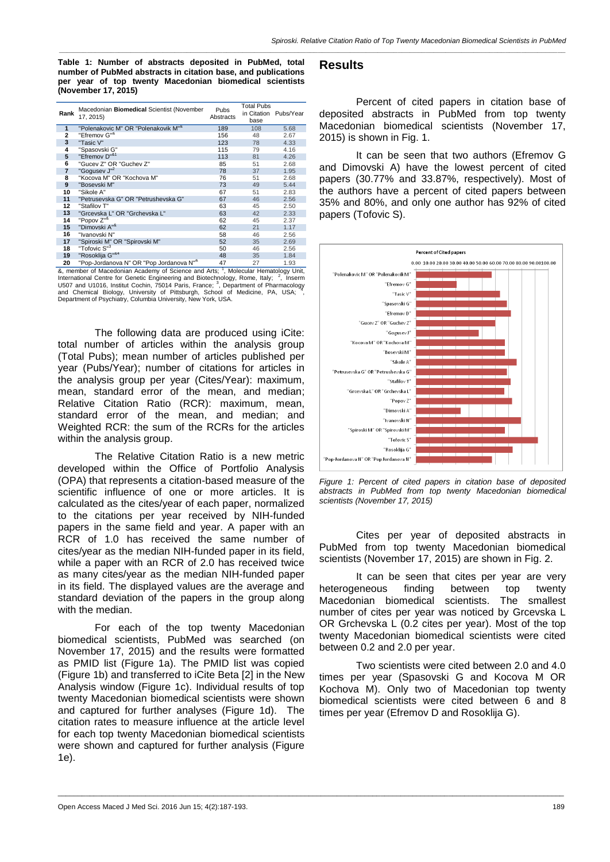**Table 1: Number of abstracts deposited in PubMed, total number of PubMed abstracts in citation base, and publications per year of top twenty Macedonian biomedical scientists (November 17, 2015)**

| Rank           | Macedonian Biomedical Scientist (November<br>17, 2015)  | Pubs<br>Abstracts | <b>Total Pubs</b><br>in Citation<br>base | Pubs/Year |  |
|----------------|---------------------------------------------------------|-------------------|------------------------------------------|-----------|--|
| 1              | "Polenakovic M" OR "Polenakovik M" <sup>&amp;</sup>     | 189               | 108                                      | 5.68      |  |
| 2              | "Efremov G" <sup>&amp;</sup>                            | 156               | 48                                       | 2.67      |  |
| 3              | "Tasic V"                                               | 123               | 78                                       | 4.33      |  |
| 4              | "Spasovski G"                                           | 115               | 79                                       | 4.16      |  |
| 5              | "Efremov D" <sup>&amp;1</sup>                           | 113               | 81                                       | 4.26      |  |
| 6              | "Gucev Z" OR "Guchev Z"                                 | 85                | 51                                       | 2.68      |  |
| $\overline{7}$ | "Gogusev J" <sup>2</sup>                                | 78                | 37                                       | 1.95      |  |
| 8              | "Kocova M" OR "Kochova M"                               | 76                | 51                                       | 2.68      |  |
| 9              | "Bosevski M"                                            | 73                | 49                                       | 5.44      |  |
| 10             | "Sikole A"                                              | 67                | 51                                       | 2.83      |  |
| 11             | "Petrusevska G" OR "Petrushevska G"                     | 67                | 46                                       | 2.56      |  |
| 12             | "Stafilov T"                                            | 63                | 45                                       | 2.50      |  |
| 13             | "Grcevska L" OR "Grchevska L"                           | 63                | 42                                       | 2.33      |  |
| 14             | "Popov Z" <sup>&amp;</sup>                              | 62                | 45                                       | 2.37      |  |
| 15             | "Dimovski A" <sup>&amp;</sup>                           | 62                | 21                                       | 1.17      |  |
| 16             | "Ivanovski N"                                           | 58                | 46                                       | 2.56      |  |
| 17             | "Spiroski M" OR "Spirovski M"                           | 52                | 35                                       | 2.69      |  |
| 18             | "Tofovic S" <sup>3</sup>                                | 50                | 46                                       | 2.56      |  |
| 19             | "Rosoklija G" <sup>&amp;4</sup>                         | 48                | 35                                       | 1.84      |  |
| 20             | "Pop-Jordanova N" OR "Pop Jordanova N" <sup>&amp;</sup> | 47                | 27                                       | 1.93      |  |

**<sup>20</sup>** "Pop-Jordanova N" OR "Pop Jordanova N"<sup>&</sup> 47 27 1.93<br>&, member of Macedonian Academy of Science and Arts; <sup>1</sup>, Molecular Hematology Unit, International Centre for Genetic Engineering and Biotechnology, Rome, Italy; <sup>2</sup>, Inserm<br>U507 and U1016, Institut Cochin, 75014 Paris, France; <sup>3</sup>, Department of Pharmacology<br>and Chemical Biology, University of Pittsburgh, and Chemical Biology, University of Pittsburgh, School of Medicine, PA, USA; 4<br>Department of Psychiatry, Columbia University, New York, USA.

The following data are produced using iCite: total number of articles within the analysis group (Total Pubs); mean number of articles published per year (Pubs/Year); number of citations for articles in the analysis group per year (Cites/Year): maximum, mean, standard error of the mean, and median; Relative Citation Ratio (RCR): maximum, mean, standard error of the mean, and median; and Weighted RCR: the sum of the RCRs for the articles within the analysis group.

The Relative Citation Ratio is a new metric developed within the Office of Portfolio Analysis (OPA) that represents a citation-based measure of the scientific influence of one or more articles. It is calculated as the cites/year of each paper, normalized to the citations per year received by NIH-funded papers in the same field and year. A paper with an RCR of 1.0 has received the same number of cites/year as the median NIH-funded paper in its field, while a paper with an RCR of 2.0 has received twice as many cites/year as the median NIH-funded paper in its field. The displayed values are the average and standard deviation of the papers in the group along with the median.

For each of the top twenty Macedonian biomedical scientists, PubMed was searched (on November 17, 2015) and the results were formatted as PMID list (Figure 1a). The PMID list was copied (Figure 1b) and transferred to iCite Beta [2] in the New Analysis window (Figure 1c). Individual results of top twenty Macedonian biomedical scientists were shown and captured for further analyses (Figure 1d). The citation rates to measure influence at the article level for each top twenty Macedonian biomedical scientists were shown and captured for further analysis (Figure 1e).

\_\_\_\_\_\_\_\_\_\_\_\_\_\_\_\_\_\_\_\_\_\_\_\_\_\_\_\_\_\_\_\_\_\_\_\_\_\_\_\_\_\_\_\_\_\_\_\_\_\_\_\_\_\_\_\_\_\_\_\_\_\_\_\_\_\_\_\_\_\_\_\_\_\_\_\_\_\_\_\_\_\_\_\_\_\_\_\_\_\_\_\_\_\_\_\_\_\_\_\_\_\_\_\_\_\_\_\_\_\_\_\_\_\_\_\_\_\_\_\_\_\_\_\_\_\_\_

#### **Results**

*\_\_\_\_\_\_\_\_\_\_\_\_\_\_\_\_\_\_\_\_\_\_\_\_\_\_\_\_\_\_\_\_\_\_\_\_\_\_\_\_\_\_\_\_\_\_\_\_\_\_\_\_\_\_\_\_\_\_\_\_\_\_\_\_\_\_\_\_\_\_\_\_\_\_\_\_\_\_\_\_\_\_\_\_\_\_\_\_\_\_\_\_\_\_\_\_\_\_\_\_\_\_\_\_\_\_\_\_\_\_\_\_\_\_\_\_\_\_\_\_\_\_\_\_\_\_\_*

Percent of cited papers in citation base of deposited abstracts in PubMed from top twenty Macedonian biomedical scientists (November 17, 2015) is shown in Fig. 1.

It can be seen that two authors (Efremov G and Dimovski A) have the lowest percent of cited papers (30.77% and 33.87%, respectively). Most of the authors have a percent of cited papers between 35% and 80%, and only one author has 92% of cited papers (Tofovic S).



*Figure 1: Percent of cited papers in citation base of deposited abstracts in PubMed from top twenty Macedonian biomedical scientists (November 17, 2015)*

Cites per year of deposited abstracts in PubMed from top twenty Macedonian biomedical scientists (November 17, 2015) are shown in Fig. 2.

It can be seen that cites per year are very heterogeneous finding between top twenty Macedonian biomedical scientists. The smallest number of cites per year was noticed by Grcevska L OR Grchevska L (0.2 cites per year). Most of the top twenty Macedonian biomedical scientists were cited between 0.2 and 2.0 per year.

Two scientists were cited between 2.0 and 4.0 times per year (Spasovski G and Kocova M OR Kochova M). Only two of Macedonian top twenty biomedical scientists were cited between 6 and 8 times per year (Efremov D and Rosoklija G).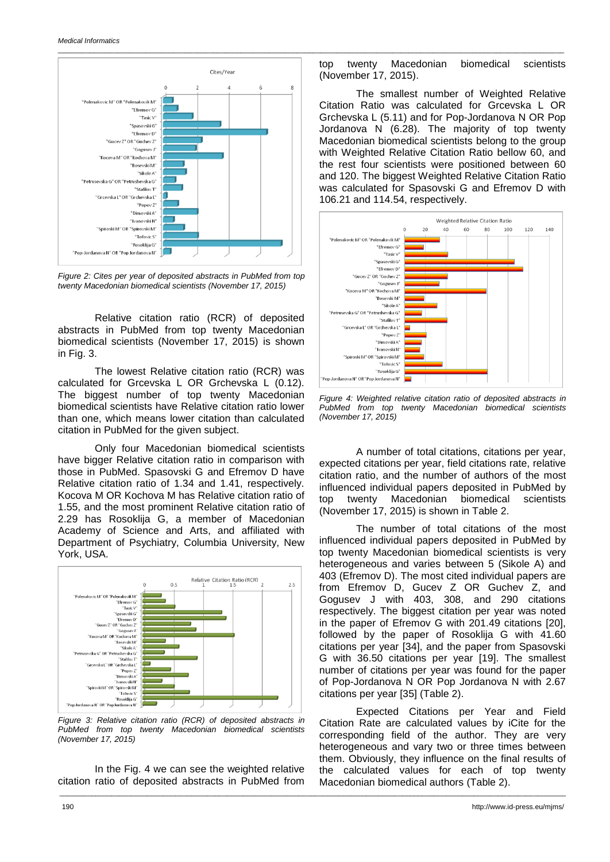

*Figure 2: Cites per year of deposited abstracts in PubMed from top twenty Macedonian biomedical scientists (November 17, 2015)*

Relative citation ratio (RCR) of deposited abstracts in PubMed from top twenty Macedonian biomedical scientists (November 17, 2015) is shown in Fig. 3.

The lowest Relative citation ratio (RCR) was calculated for Grcevska L OR Grchevska L (0.12). The biggest number of top twenty Macedonian biomedical scientists have Relative citation ratio lower than one, which means lower citation than calculated citation in PubMed for the given subject.

Only four Macedonian biomedical scientists have bigger Relative citation ratio in comparison with those in PubMed. Spasovski G and Efremov D have Relative citation ratio of 1.34 and 1.41, respectively. Kocova M OR Kochova M has Relative citation ratio of 1.55, and the most prominent Relative citation ratio of 2.29 has Rosoklija G, a member of Macedonian Academy of Science and Arts, and affiliated with Department of Psychiatry, Columbia University, New York, USA.



*Figure 3: Relative citation ratio (RCR) of deposited abstracts in PubMed from top twenty Macedonian biomedical scientists (November 17, 2015)*

In the Fig. 4 we can see the weighted relative citation ratio of deposited abstracts in PubMed from

\_\_\_\_\_\_\_\_\_\_\_\_\_\_\_\_\_\_\_\_\_\_\_\_\_\_\_\_\_\_\_\_\_\_\_\_\_\_\_\_\_\_\_\_\_\_\_\_\_\_\_\_\_\_\_\_\_\_\_\_\_\_\_\_\_\_\_\_\_\_\_\_\_\_\_\_\_\_\_\_\_\_\_\_\_\_\_\_\_\_\_\_\_\_\_\_\_\_\_\_\_\_\_\_\_\_\_\_\_\_\_\_\_\_\_\_\_\_\_\_\_\_\_\_\_\_\_

top twenty Macedonian biomedical scientists (November 17, 2015).

\_\_\_\_\_\_\_\_\_\_\_\_\_\_\_\_\_\_\_\_\_\_\_\_\_\_\_\_\_\_\_\_\_\_\_\_\_\_\_\_\_\_\_\_\_\_\_\_\_\_\_\_\_\_\_\_\_\_\_\_\_\_\_\_\_\_\_\_\_\_\_\_\_\_\_\_\_\_\_\_\_\_\_\_\_\_\_\_\_\_\_\_\_\_\_\_\_\_\_\_\_\_\_\_\_\_\_\_\_\_\_\_\_\_\_\_\_\_\_\_\_\_\_\_\_\_\_

The smallest number of Weighted Relative Citation Ratio was calculated for Grcevska L OR Grchevska L (5.11) and for Pop-Jordanova N OR Pop Jordanova N (6.28). The majority of top twenty Macedonian biomedical scientists belong to the group with Weighted Relative Citation Ratio bellow 60, and the rest four scientists were positioned between 60 and 120. The biggest Weighted Relative Citation Ratio was calculated for Spasovski G and Efremov D with 106.21 and 114.54, respectively.



*Figure 4: Weighted relative citation ratio of deposited abstracts in PubMed from top twenty Macedonian biomedical scientists (November 17, 2015)*

A number of total citations, citations per year, expected citations per year, field citations rate, relative citation ratio, and the number of authors of the most influenced individual papers deposited in PubMed by top twenty Macedonian biomedical scientists (November 17, 2015) is shown in Table 2.

The number of total citations of the most influenced individual papers deposited in PubMed by top twenty Macedonian biomedical scientists is very heterogeneous and varies between 5 (Sikole A) and 403 (Efremov D). The most cited individual papers are from Efremov D, Gucev Z OR Guchev Z, and Gogusev J with 403, 308, and 290 citations respectively. The biggest citation per year was noted in the paper of Efremov G with 201.49 citations [20], followed by the paper of Rosoklija G with 41.60 citations per year [34], and the paper from Spasovski G with 36.50 citations per year [19]. The smallest number of citations per year was found for the paper of Pop-Jordanova N OR Pop Jordanova N with 2.67 citations per year [35] (Table 2).

Expected Citations per Year and Field Citation Rate are calculated values by iCite for the corresponding field of the author. They are very heterogeneous and vary two or three times between them. Obviously, they influence on the final results of the calculated values for each of top twenty Macedonian biomedical authors (Table 2).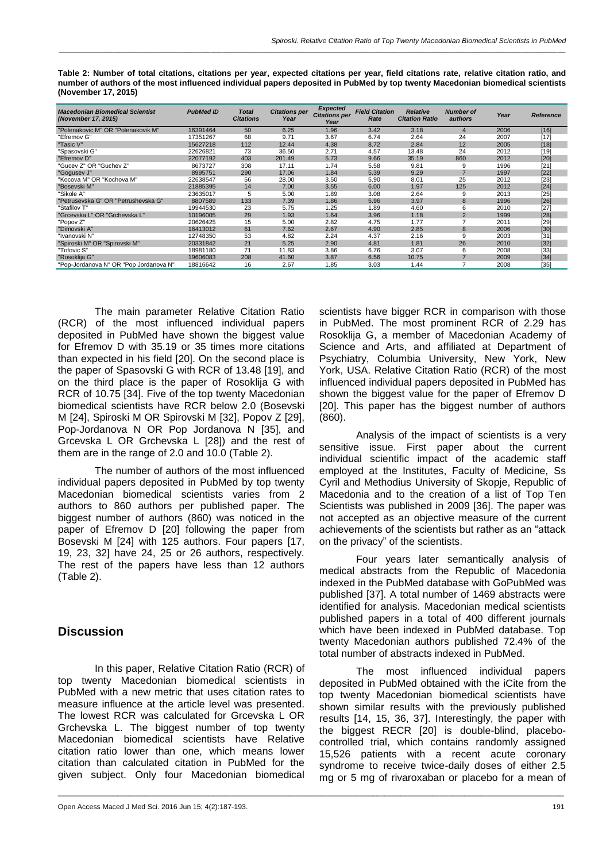| <b>Macedonian Biomedical Scientist</b><br>(November 17, 2015) | <b>PubMed ID</b> | Total<br><b>Citations</b> | <b>Citations per</b><br>Year | <b>Expected</b><br><b>Citations per</b><br>Year | <b>Field Citation</b><br>Rate | <b>Relative</b><br><b>Citation Ratio</b> | <b>Number of</b><br>authors | Year | Reference |
|---------------------------------------------------------------|------------------|---------------------------|------------------------------|-------------------------------------------------|-------------------------------|------------------------------------------|-----------------------------|------|-----------|
| "Polenakovic M" OR "Polenakovik M"                            | 16391464         | 50                        | 6.25                         | 1.96                                            | 3.42                          | 3.18                                     | 4                           | 2006 | $[16]$    |
| "Efremov G"                                                   | 17351267         | 68                        | 9.71                         | 3.67                                            | 6.74                          | 2.64                                     | 24                          | 2007 | $[17]$    |
| "Tasic V"                                                     | 15627218         | 112                       | 12.44                        | 4.38                                            | 8.72                          | 2.84                                     | 12                          | 2005 | [18]      |
| "Spasovski G"                                                 | 22626821         | 73                        | 36.50                        | 2.71                                            | 4.57                          | 13.48                                    | 24                          | 2012 | [19]      |
| "Efremov D"                                                   | 22077192         | 403                       | 201.49                       | 5.73                                            | 9.66                          | 35.19                                    | 860                         | 2012 | [20]      |
| "Gucev Z" OR "Guchev Z"                                       | 8673727          | 308                       | 17.11                        | 1.74                                            | 5.58                          | 9.81                                     | 9                           | 1996 | $[21]$    |
| "Gogusev J'                                                   | 8995751          | 290                       | 17.06                        | 1.84                                            | 5.39                          | 9.29                                     |                             | 1997 | $[22]$    |
| "Kocova M" OR "Kochova M"                                     | 22638547         | 56                        | 28.00                        | 3.50                                            | 5.90                          | 8.01                                     | 25                          | 2012 | $[23]$    |
| "Bosevski M"                                                  | 21885395         | 14                        | 7.00                         | 3.55                                            | 6.00                          | 1.97                                     | 125                         | 2012 | [24]      |
| "Sikole A"                                                    | 23635017         | 5                         | 5.00                         | 1.89                                            | 3.08                          | 2.64                                     | g                           | 2013 | $[25]$    |
| "Petrusevska G" OR "Petrushevska G"                           | 8807589          | 133                       | 7.39                         | 1.86                                            | 5.96                          | 3.97                                     | 8                           | 1996 | $[26]$    |
| "Stafilov T                                                   | 19944530         | 23                        | 5.75                         | 1.25                                            | 1.89                          | 4.60                                     | 6                           | 2010 | $[27]$    |
| "Grcevska L" OR "Grchevska L"                                 | 10196005         | 29                        | 1.93                         | 1.64                                            | 3.96                          | 1.18                                     | $\overline{2}$              | 1999 | [28]      |
| "Popov Z"                                                     | 20626425         | 15                        | 5.00                         | 2.82                                            | 4.75                          | 1.77                                     |                             | 2011 | $[29]$    |
| "Dimovski A"                                                  | 16413012         | 61                        | 7.62                         | 2.67                                            | 4.90                          | 2.85                                     | 8                           | 2006 | $[30]$    |
| 'Ivanovski N"                                                 | 12748350         | 53                        | 4.82                         | 2.24                                            | 4.37                          | 2.16                                     | 9                           | 2003 | [31]      |
| "Spiroski M" OR "Spirovski M"                                 | 20331842         | 21                        | 5.25                         | 2.90                                            | 4.81                          | 1.81                                     | 26                          | 2010 | $[32]$    |
| "Tofovic S"                                                   | 18981180         | 71                        | 11.83                        | 3.86                                            | 6.76                          | 3.07                                     | 6                           | 2008 | $[33]$    |
| "Rosoklija G"                                                 | 19606083         | 208                       | 41.60                        | 3.87                                            | 6.56                          | 10.75                                    |                             | 2009 | $[34]$    |
| "Pop-Jordanova N" OR "Pop Jordanova N"                        | 18816642         | 16                        | 2.67                         | 1.85                                            | 3.03                          | 1.44                                     | 7                           | 2008 | [35]      |

\_\_\_\_\_\_\_\_\_\_\_\_\_\_\_\_\_\_\_\_\_\_\_\_\_\_\_\_\_\_\_\_\_\_\_\_\_\_\_\_\_\_\_\_\_\_\_\_\_\_\_\_\_\_\_\_\_\_\_\_\_\_\_\_\_\_\_\_\_\_\_\_\_\_\_\_\_\_\_\_\_\_\_\_\_\_\_\_\_\_\_\_\_\_\_\_\_\_\_\_\_\_\_\_\_\_\_\_\_\_\_\_\_\_\_\_\_\_\_\_\_\_\_\_\_\_\_

**Table 2: Number of total citations, citations per year, expected citations per year, field citations rate, relative citation ratio, and number of authors of the most influenced individual papers deposited in PubMed by top twenty Macedonian biomedical scientists (November 17, 2015)**

*\_\_\_\_\_\_\_\_\_\_\_\_\_\_\_\_\_\_\_\_\_\_\_\_\_\_\_\_\_\_\_\_\_\_\_\_\_\_\_\_\_\_\_\_\_\_\_\_\_\_\_\_\_\_\_\_\_\_\_\_\_\_\_\_\_\_\_\_\_\_\_\_\_\_\_\_\_\_\_\_\_\_\_\_\_\_\_\_\_\_\_\_\_\_\_\_\_\_\_\_\_\_\_\_\_\_\_\_\_\_\_\_\_\_\_\_\_\_\_\_\_\_\_\_\_\_\_*

The main parameter Relative Citation Ratio (RCR) of the most influenced individual papers deposited in PubMed have shown the biggest value for Efremov D with 35.19 or 35 times more citations than expected in his field [20]. On the second place is the paper of Spasovski G with RCR of 13.48 [19], and on the third place is the paper of Rosoklija G with RCR of 10.75 [34]. Five of the top twenty Macedonian biomedical scientists have RCR below 2.0 (Bosevski M [24], Spiroski M OR Spirovski M [32], Popov Z [29], Pop-Jordanova N OR Pop Jordanova N [35], and Grcevska L OR Grchevska L [28]) and the rest of them are in the range of 2.0 and 10.0 (Table 2).

The number of authors of the most influenced individual papers deposited in PubMed by top twenty Macedonian biomedical scientists varies from 2 authors to 860 authors per published paper. The biggest number of authors (860) was noticed in the paper of Efremov D [20] following the paper from Bosevski M [24] with 125 authors. Four papers [17, 19, 23, 32] have 24, 25 or 26 authors, respectively. The rest of the papers have less than 12 authors (Table 2).

# **Discussion**

In this paper, Relative Citation Ratio (RCR) of top twenty Macedonian biomedical scientists in PubMed with a new metric that uses citation rates to measure influence at the article level was presented. The lowest RCR was calculated for Grcevska L OR Grchevska L. The biggest number of top twenty Macedonian biomedical scientists have Relative citation ratio lower than one, which means lower citation than calculated citation in PubMed for the given subject. Only four Macedonian biomedical

scientists have bigger RCR in comparison with those in PubMed. The most prominent RCR of 2.29 has Rosoklija G, a member of Macedonian Academy of Science and Arts, and affiliated at Department of Psychiatry, Columbia University, New York, New York, USA. Relative Citation Ratio (RCR) of the most influenced individual papers deposited in PubMed has shown the biggest value for the paper of Efremov D [20]. This paper has the biggest number of authors (860).

Analysis of the impact of scientists is a very sensitive issue. First paper about the current individual scientific impact of the academic staff employed at the Institutes, Faculty of Medicine, Ss Cyril and Methodius University of Skopje, Republic of Macedonia and to the creation of a list of Top Ten Scientists was published in 2009 [36]. The paper was not accepted as an objective measure of the current achievements of the scientists but rather as an "attack on the privacy" of the scientists.

Four years later semantically analysis of medical abstracts from the Republic of Macedonia indexed in the PubMed database with GoPubMed was published [37]. A total number of 1469 abstracts were identified for analysis. Macedonian medical scientists published papers in a total of 400 different journals which have been indexed in PubMed database. Top twenty Macedonian authors published 72.4% of the total number of abstracts indexed in PubMed.

The most influenced individual papers deposited in PubMed obtained with the iCite from the top twenty Macedonian biomedical scientists have shown similar results with the previously published results [14, 15, 36, 37]. Interestingly, the paper with the biggest RECR [20] is double-blind, placebocontrolled trial, which contains randomly assigned 15,526 patients with a recent acute coronary syndrome to receive twice-daily doses of either 2.5 mg or 5 mg of rivaroxaban or placebo for a mean of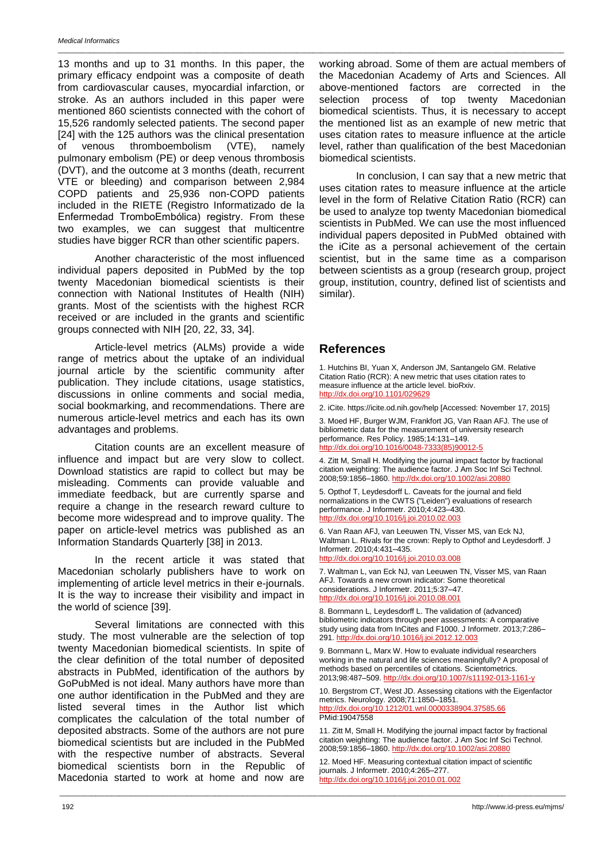13 months and up to 31 months. In this paper, the primary efficacy endpoint was a composite of death from cardiovascular causes, myocardial infarction, or stroke. As an authors included in this paper were mentioned 860 scientists connected with the cohort of 15,526 randomly selected patients. The second paper [24] with the 125 authors was the clinical presentation of venous thromboembolism (VTE), namely pulmonary embolism (PE) or deep venous thrombosis (DVT), and the outcome at 3 months (death, recurrent VTE or bleeding) and comparison between 2,984 COPD patients and 25,936 non-COPD patients included in the RIETE (Registro Informatizado de la Enfermedad TromboEmbólica) registry. From these two examples, we can suggest that multicentre studies have bigger RCR than other scientific papers.

Another characteristic of the most influenced individual papers deposited in PubMed by the top twenty Macedonian biomedical scientists is their connection with National Institutes of Health (NIH) grants. Most of the scientists with the highest RCR received or are included in the grants and scientific groups connected with NIH [20, 22, 33, 34].

Article-level metrics (ALMs) provide a wide range of metrics about the uptake of an individual journal article by the scientific community after publication. They include citations, usage statistics, discussions in online comments and social media, social bookmarking, and recommendations. There are numerous article-level metrics and each has its own advantages and problems.

Citation counts are an excellent measure of influence and impact but are very slow to collect. Download statistics are rapid to collect but may be misleading. Comments can provide valuable and immediate feedback, but are currently sparse and require a change in the research reward culture to become more widespread and to improve quality. The paper on article-level metrics was published as an Information Standards Quarterly [38] in 2013.

In the recent article it was stated that Macedonian scholarly publishers have to work on implementing of article level metrics in their e-journals. It is the way to increase their visibility and impact in the world of science [39].

Several limitations are connected with this study. The most vulnerable are the selection of top twenty Macedonian biomedical scientists. In spite of the clear definition of the total number of deposited abstracts in PubMed, identification of the authors by GoPubMed is not ideal. Many authors have more than one author identification in the PubMed and they are listed several times in the Author list which complicates the calculation of the total number of deposited abstracts. Some of the authors are not pure biomedical scientists but are included in the PubMed with the respective number of abstracts. Several biomedical scientists born in the Republic of Macedonia started to work at home and now are

working abroad. Some of them are actual members of the Macedonian Academy of Arts and Sciences. All above-mentioned factors are corrected in the selection process of top twenty Macedonian biomedical scientists. Thus, it is necessary to accept the mentioned list as an example of new metric that uses citation rates to measure influence at the article level, rather than qualification of the best Macedonian biomedical scientists.

 In conclusion, I can say that a new metric that uses citation rates to measure influence at the article level in the form of Relative Citation Ratio (RCR) can be used to analyze top twenty Macedonian biomedical scientists in PubMed. We can use the most influenced individual papers deposited in PubMed obtained with the iCite as a personal achievement of the certain scientist, but in the same time as a comparison between scientists as a group (research group, project group, institution, country, defined list of scientists and similar).

### **References**

\_\_\_\_\_\_\_\_\_\_\_\_\_\_\_\_\_\_\_\_\_\_\_\_\_\_\_\_\_\_\_\_\_\_\_\_\_\_\_\_\_\_\_\_\_\_\_\_\_\_\_\_\_\_\_\_\_\_\_\_\_\_\_\_\_\_\_\_\_\_\_\_\_\_\_\_\_\_\_\_\_\_\_\_\_\_\_\_\_\_\_\_\_\_\_\_\_\_\_\_\_\_\_\_\_\_\_\_\_\_\_\_\_\_\_\_\_\_\_\_\_\_\_\_\_\_\_

1. Hutchins BI, Yuan X, Anderson JM, Santangelo GM. Relative Citation Ratio (RCR): A new metric that uses citation rates to measure influence at the article level. bioRxiv. <http://dx.doi.org/10.1101/029629>

2. iCite. https://icite.od.nih.gov/help [Accessed: November 17, 2015] 3. Moed HF, Burger WJM, Frankfort JG, Van Raan AFJ. The use of bibliometric data for the measurement of university research performance. Res Policy. 1985;14:131–149. [http://dx.doi.org/10.1016/0048-7333\(85\)90012-5](http://dx.doi.org/10.1016/0048-7333(85)90012-5)

4. Zitt M, Small H. Modifying the journal impact factor by fractional citation weighting: The audience factor. J Am Soc Inf Sci Technol. 2008;59:1856–1860.<http://dx.doi.org/10.1002/asi.20880>

5. Opthof T, Leydesdorff L. Caveats for the journal and field normalizations in the CWTS ("Leiden") evaluations of research performance. J Informetr. 2010;4:423–430. <http://dx.doi.org/10.1016/j.joi.2010.02.003>

6. Van Raan AFJ, van Leeuwen TN, Visser MS, van Eck NJ, Waltman L. Rivals for the crown: Reply to Opthof and Leydesdorff. J Informetr. 2010;4:431–435. <http://dx.doi.org/10.1016/j.joi.2010.03.008>

7. Waltman L, van Eck NJ, van Leeuwen TN, Visser MS, van Raan AFJ. Towards a new crown indicator: Some theoretical considerations. J Informetr. 2011;5:37–47. <http://dx.doi.org/10.1016/j.joi.2010.08.001>

8. Bornmann L, Leydesdorff L. The validation of (advanced) bibliometric indicators through peer assessments: A comparative study using data from InCites and F1000. J Informetr. 2013;7:286– 291[. http://dx.doi.org/10.1016/j.joi.2012.12.003](http://dx.doi.org/10.1016/j.joi.2012.12.003)

9. Bornmann L, Marx W. How to evaluate individual researchers working in the natural and life sciences meaningfully? A proposal of methods based on percentiles of citations. Scientometrics. 2013;98:487–509[. http://dx.doi.org/10.1007/s11192-013-1161-y](http://dx.doi.org/10.1007/s11192-013-1161-y)

10. Bergstrom CT, West JD. Assessing citations with the Eigenfactor metrics. Neurology. 2008;71:1850–1851. <http://dx.doi.org/10.1212/01.wnl.0000338904.37585.66> PMid:19047558

11. Zitt M, Small H. Modifying the journal impact factor by fractional citation weighting: The audience factor. J Am Soc Inf Sci Technol. 2008;59:1856–1860.<http://dx.doi.org/10.1002/asi.20880>

12. Moed HF. Measuring contextual citation impact of scientific journals. J Informetr. 2010;4:265–277. <http://dx.doi.org/10.1016/j.joi.2010.01.002>

\_\_\_\_\_\_\_\_\_\_\_\_\_\_\_\_\_\_\_\_\_\_\_\_\_\_\_\_\_\_\_\_\_\_\_\_\_\_\_\_\_\_\_\_\_\_\_\_\_\_\_\_\_\_\_\_\_\_\_\_\_\_\_\_\_\_\_\_\_\_\_\_\_\_\_\_\_\_\_\_\_\_\_\_\_\_\_\_\_\_\_\_\_\_\_\_\_\_\_\_\_\_\_\_\_\_\_\_\_\_\_\_\_\_\_\_\_\_\_\_\_\_\_\_\_\_\_